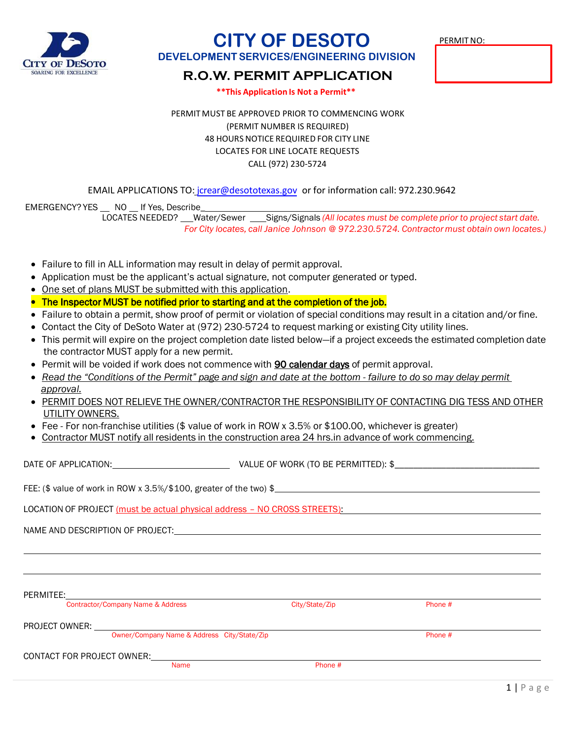

# **CITY OF DESOTO**

PERMITNO:

### **DEVELOPMENT SERVICES/ENGINEERING DIVISION**

## **R.O.W. PERMIT APPLICATION**

**\*\*This Application Is Not a Permit\*\***

PERMIT MUST BE APPROVED PRIOR TO COMMENCING WORK (PERMIT NUMBER IS REQUIRED) 48 HOURS NOTICE REQUIRED FOR CITY LINE LOCATES FOR LINE LOCATE REQUESTS CALL (972) 230-5724

EMAIL APPLICATIONS TO: jcrear[@desototexas.gov](mailto:cstrickland@desototexas.gov) or for information call: 972.230.9642

EMERGENCY? YES NO If Yes, Describe LOCATES NEEDED? Water/Sewer Signs/Signals *(All locates must be complete prior to project start date. For City locates, call Janice Johnson @ 972.230.5724. Contractor must obtain own locates.)*

- Failure to fill in ALL information may result in delay of permit approval.
- Application must be the applicant's actual signature, not computer generated or typed.
- One set of plans MUST be submitted with this application.
- The Inspector MUST be notified prior to starting and at the completion of the job.
- Failure to obtain a permit, show proof of permit or violation of special conditions may result in a citation and/or fine.
- Contact the City of DeSoto Water at (972) 230-5724 to request marking or existing City utility lines.
- This permit will expire on the project completion date listed below—if a project exceeds the estimated completion date the contractor MUST apply for a new permit.
- Permit will be voided if work does not commence with **90 calendar days** of permit approval.
- Read the "Conditions of the Permit" page and sign and date at the bottom failure to do so may delay permit *approval.*
- PERMIT DOES NOT RELIEVE THE OWNER/CONTRACTOR THE RESPONSIBILITY OF CONTACTING DIG TESS AND OTHER UTILITY OWNERS.
- Fee For non-franchise utilities (\$ value of work in ROW x 3.5% or \$100.00, whichever is greater)
- Contractor MUST notify all residents in the construction area 24 hrs.in advance of work commencing.

DATE OF APPLICATION: UNIVERSITY OF VALUE OF WORK (TO BE PERMITTED): \$

| FEE: (\$ value of work in ROW x 3.5%/\$100, greater of the two) \$ |  |
|--------------------------------------------------------------------|--|
|--------------------------------------------------------------------|--|

LOCATION OF PROJECT (must be actual physical address – NO CROSS STREETS):

NAME AND DESCRIPTION OF PROJECT:

PERMITEE:

Contractor/Company Name & Address Contractor/Company Name & Address Contractor/Company Phone #

PROJECT OWNER:

Owner/Company Name & Address City/State/Zip Phone #

CONTACT FOR PROJECT OWNER:

Name Phone #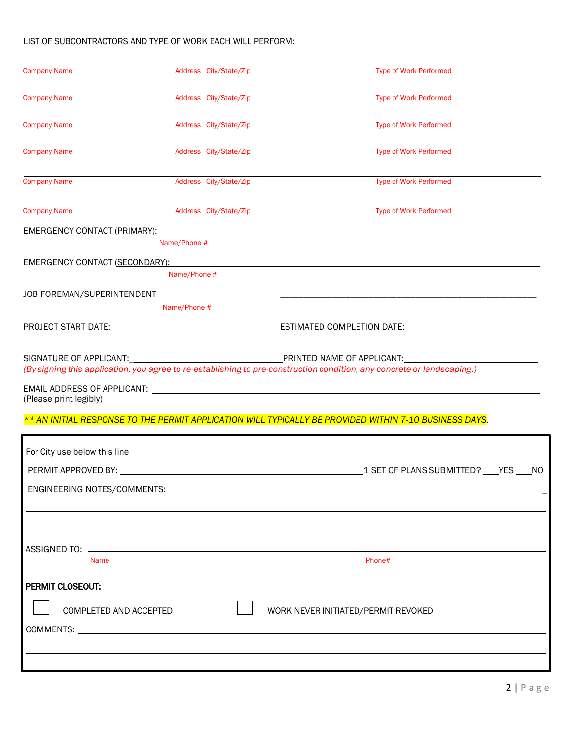#### LIST OF SUBCONTRACTORS AND TYPE OF WORK EACH WILL PERFORM:

| <b>Company Name</b>          |                                                                                                                                                                                                                                                |                                                                                                                         |
|------------------------------|------------------------------------------------------------------------------------------------------------------------------------------------------------------------------------------------------------------------------------------------|-------------------------------------------------------------------------------------------------------------------------|
|                              | Address City/State/Zip                                                                                                                                                                                                                         | <b>Type of Work Performed</b>                                                                                           |
| <b>Company Name</b>          | Address City/State/Zip                                                                                                                                                                                                                         | <b>Type of Work Performed</b>                                                                                           |
| <b>Company Name</b>          | Address City/State/Zip                                                                                                                                                                                                                         | <b>Type of Work Performed</b>                                                                                           |
| <b>Company Name</b>          | Address City/State/Zip                                                                                                                                                                                                                         | <b>Type of Work Performed</b>                                                                                           |
| <b>Company Name</b>          | Address City/State/Zip                                                                                                                                                                                                                         | <b>Type of Work Performed</b>                                                                                           |
| <b>Company Name</b>          | Address City/State/Zip                                                                                                                                                                                                                         | <b>Type of Work Performed</b>                                                                                           |
| EMERGENCY CONTACT (PRIMARY): |                                                                                                                                                                                                                                                |                                                                                                                         |
|                              | Name/Phone #                                                                                                                                                                                                                                   |                                                                                                                         |
|                              | EMERGENCY CONTACT (SECONDARY): A CONTROL CONTROL CONTROL CONTROL CONTROL CONTROL CONTROL CONTROL CONTROL CONTROL CONTROL CONTROL CONTROL CONTROL CONTROL CONTROL CONTROL CONTROL CONTROL CONTROL CONTROL CONTROL CONTROL CONTR<br>Name/Phone # |                                                                                                                         |
|                              |                                                                                                                                                                                                                                                |                                                                                                                         |
|                              | Name/Phone #                                                                                                                                                                                                                                   |                                                                                                                         |
|                              |                                                                                                                                                                                                                                                |                                                                                                                         |
|                              |                                                                                                                                                                                                                                                |                                                                                                                         |
|                              |                                                                                                                                                                                                                                                | (By signing this application, you agree to re-establishing to pre-construction condition, any concrete or landscaping.) |
|                              |                                                                                                                                                                                                                                                |                                                                                                                         |
| (Please print legibly)       |                                                                                                                                                                                                                                                |                                                                                                                         |
|                              |                                                                                                                                                                                                                                                |                                                                                                                         |
|                              |                                                                                                                                                                                                                                                | ** AN INITIAL RESPONSE TO THE PERMIT APPLICATION WILL TYPICALLY BE PROVIDED WITHIN 7-10 BUSINESS DAYS.                  |
|                              |                                                                                                                                                                                                                                                |                                                                                                                         |
|                              |                                                                                                                                                                                                                                                |                                                                                                                         |
|                              |                                                                                                                                                                                                                                                |                                                                                                                         |
|                              |                                                                                                                                                                                                                                                |                                                                                                                         |
|                              |                                                                                                                                                                                                                                                |                                                                                                                         |
|                              |                                                                                                                                                                                                                                                |                                                                                                                         |
| <b>Name</b>                  |                                                                                                                                                                                                                                                | Phone#                                                                                                                  |
| PERMIT CLOSEOUT:             |                                                                                                                                                                                                                                                |                                                                                                                         |
|                              |                                                                                                                                                                                                                                                |                                                                                                                         |
| COMPLETED AND ACCEPTED       |                                                                                                                                                                                                                                                | WORK NEVER INITIATED/PERMIT REVOKED                                                                                     |
|                              |                                                                                                                                                                                                                                                |                                                                                                                         |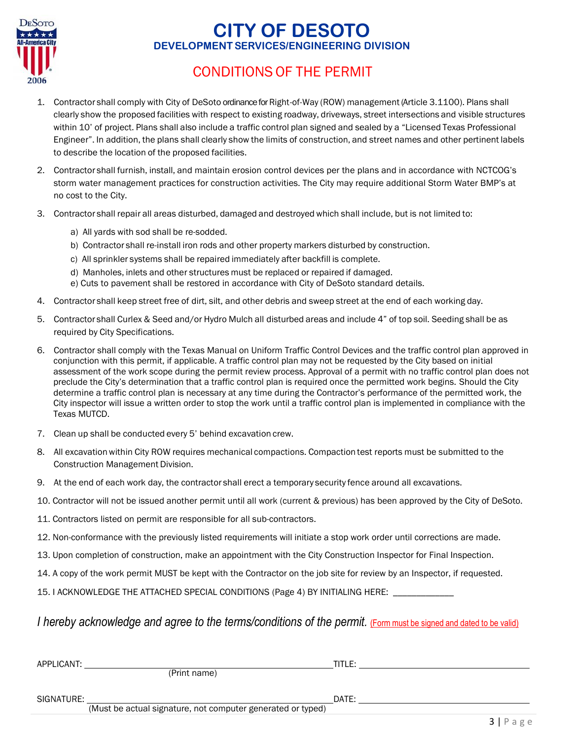

## **CITY OF DESOTO DEVELOPMENTSERVICES/ENGINEERING DIVISION**

## CONDITIONS OF THE PERMIT

- 1. Contractor shall comply with City of DeSoto ordinance for Right-of-Way (ROW) management (Article 3.1100). Plans shall clearly show the proposed facilities with respect to existing roadway, driveways, street intersections and visible structures within 10' of project. Plans shall also include a traffic control plan signed and sealed by a "Licensed Texas Professional Engineer". In addition, the plans shall clearly show the limits of construction, and street names and other pertinent labels to describe the location of the proposed facilities.
- 2. Contractor shall furnish, install, and maintain erosion control devices per the plans and in accordance with NCTCOG's storm water management practices for construction activities. The City may require additional Storm Water BMP's at no cost to the City.
- 3. Contractor shall repair all areas disturbed, damaged and destroyed which shall include, but is not limited to:
	- a) All yards with sod shall be re-sodded.
	- b) Contractor shall re-install iron rods and other property markers disturbed by construction.
	- c) All sprinkler systems shall be repaired immediately after backfill is complete.
	- d) Manholes, inlets and other structures must be replaced or repaired if damaged.
	- e) Cuts to pavement shall be restored in accordance with City of DeSoto standard details.
- 4. Contractor shall keep street free of dirt, silt, and other debris and sweep street at the end of each working day.
- 5. Contractor shall Curlex & Seed and/or Hydro Mulch all disturbed areas and include 4" of top soil. Seeding shall be as required by City Specifications.
- 6. Contractor shall comply with the Texas Manual on Uniform Traffic Control Devices and the traffic control plan approved in conjunction with this permit, if applicable. A traffic control plan may not be requested by the City based on initial assessment of the work scope during the permit review process. Approval of a permit with no traffic control plan does not preclude the City's determination that a traffic control plan is required once the permitted work begins. Should the City determine a traffic control plan is necessary at any time during the Contractor's performance of the permitted work, the City inspector will issue a written order to stop the work until a traffic control plan is implemented in compliance with the Texas MUTCD.
- 7. Clean up shall be conducted every 5' behind excavation crew.
- 8. All excavationwithin City ROW requires mechanical compactions. Compaction test reports must be submitted to the Construction Management Division.
- 9. At the end of each work day, the contractor shall erect a temporary security fence around all excavations.
- 10. Contractor will not be issued another permit until all work (current & previous) has been approved by the City of DeSoto.
- 11. Contractors listed on permit are responsible for all sub-contractors.
- 12. Non-conformance with the previously listed requirements will initiate a stop work order until corrections are made.
- 13. Upon completion of construction, make an appointment with the City Construction Inspector for Final Inspection.
- 14. A copy of the work permit MUST be kept with the Contractor on the job site for review by an Inspector, if requested.
- 15. I ACKNOWLEDGE THE ATTACHED SPECIAL CONDITIONS (Page 4) BY INITIALING HERE:

### *I hereby acknowledge and agree to the terms/conditions of the permit.* (Form must be signed and dated to be valid)

| APPLICANT: |                                                             | title: |  |
|------------|-------------------------------------------------------------|--------|--|
|            | (Print name)                                                |        |  |
| SIGNATURE: |                                                             | DATE:  |  |
|            | (Must be actual signature, not computer generated or typed) |        |  |